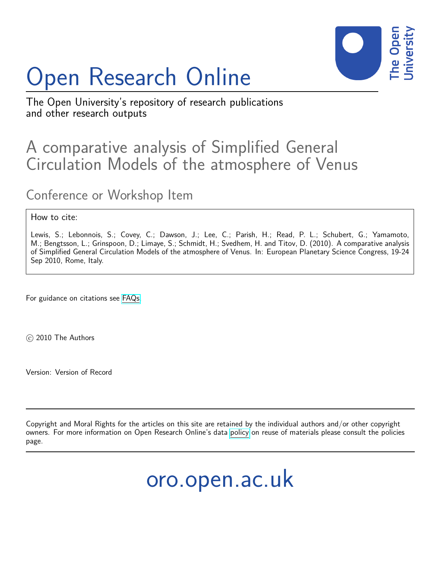# Open Research Online



The Open University's repository of research publications and other research outputs

## A comparative analysis of Simplified General Circulation Models of the atmosphere of Venus

### Conference or Workshop Item

#### How to cite:

Lewis, S.; Lebonnois, S.; Covey, C.; Dawson, J.; Lee, C.; Parish, H.; Read, P. L.; Schubert, G.; Yamamoto, M.; Bengtsson, L.; Grinspoon, D.; Limaye, S.; Schmidt, H.; Svedhem, H. and Titov, D. (2010). A comparative analysis of Simplified General Circulation Models of the atmosphere of Venus. In: European Planetary Science Congress, 19-24 Sep 2010, Rome, Italy.

For guidance on citations see [FAQs.](http://oro.open.ac.uk/help/helpfaq.html)

c 2010 The Authors

Version: Version of Record

Copyright and Moral Rights for the articles on this site are retained by the individual authors and/or other copyright owners. For more information on Open Research Online's data [policy](http://oro.open.ac.uk/policies.html) on reuse of materials please consult the policies page.

oro.open.ac.uk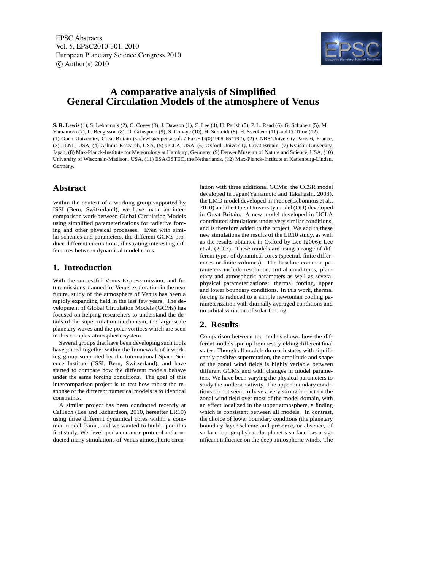EPSC Abstracts Vol. 5, EPSC2010-301, 2010 European Planetary Science Congress 2010  $\circ$  Author(s) 2010



#### **A comparative analysis of Simplified General Circulation Models of the atmosphere of Venus**

**S. R. Lewis** (1), S. Lebonnois (2), C. Covey (3), J. Dawson (1), C. Lee (4), H. Parish (5), P. L. Read (6), G. Schubert (5), M. Yamamoto (7), L. Bengtsson (8), D. Grinspoon (9), S. Limaye (10), H. Schmidt (8), H. Svedhem (11) and D. Titov (12). (1) Open University, Great-Britain (s.r.lewis@open.ac.uk / Fax:+44(0)1908 654192), (2) CNRS/University Paris 6, France, (3) LLNL, USA, (4) Ashima Research, USA, (5) UCLA, USA, (6) Oxford University, Great-Britain, (7) Kyushu University, Japan, (8) Max-Planck-Institute for Meteorology at Hamburg, Germany, (9) Denver Museum of Nature and Science, USA, (10) University of Wisconsin-Madison, USA, (11) ESA/ESTEC, the Netherlands, (12) Max-Planck-Institute at Katlenburg-Lindau, Germany.

#### **Abstract**

Within the context of a working group supported by ISSI (Bern, Switzerland), we have made an intercomparison work between Global Circulation Models using simplified parameterizations for radiative forcing and other physical processes. Even with similar schemes and parameters, the different GCMs produce different circulations, illustrating interesting differences between dynamical model cores.

#### **1. Introduction**

With the successful Venus Express mission, and future missions planned for Venus exploration in the near future, study of the atmosphere of Venus has been a rapidly expanding field in the last few years. The development of Global Circulation Models (GCMs) has focused on helping researchers to understand the details of the super-rotation mechanism, the large-scale planetary waves and the polar vortices which are seen in this complex atmospheric system.

Several groups that have been developing such tools have joined together within the framework of a working group supported by the International Space Science Institute (ISSI, Bern, Switzerland), and have started to compare how the different models behave under the same forcing conditions. The goal of this intercomparison project is to test how robust the response of the different numerical models is to identical constraints.

A similar project has been conducted recently at CalTech (Lee and Richardson, 2010, hereafter LR10) using three different dynamical cores within a common model frame, and we wanted to build upon this first study. We developed a common protocol and conducted many simulations of Venus atmospheric circulation with three additional GCMs: the CCSR model developed in Japan(Yamamoto and Takahashi, 2003), the LMD model developed in France(Lebonnois et al., 2010) and the Open University model (OU) developed in Great Britain. A new model developed in UCLA contributed simulations under very similar conditions, and is therefore added to the project. We add to these new simulations the results of the LR10 study, as well as the results obtained in Oxford by Lee (2006); Lee et al. (2007). These models are using a range of different types of dynamical cores (spectral, finite differences or finite volumes). The baseline common parameters include resolution, initial conditions, planetary and atmospheric parameters as well as several physical parameterizations: thermal forcing, upper and lower boundary conditions. In this work, thermal forcing is reduced to a simple newtonian cooling parameterization with diurnally averaged conditions and no orbital variation of solar forcing.

#### **2. Results**

Comparison between the models shows how the different models spin up from rest, yielding different final states. Though all models do reach states with significantly positive superrotation, the amplitude and shape of the zonal wind fields is highly variable between different GCMs and with changes in model parameters. We have been varying the physical parameters to study the mode sensitivity. The upper boundary conditions do not seem to have a very strong impact on the zonal wind field over most of the model domain, with an effect localized in the upper atmosphere, a finding which is consistent between all models. In contrast, the choice of lower boundary condtions (the planetary boundary layer scheme and presence, or absence, of surface topography) at the planet's surface has a significant influence on the deep atmospheric winds. The